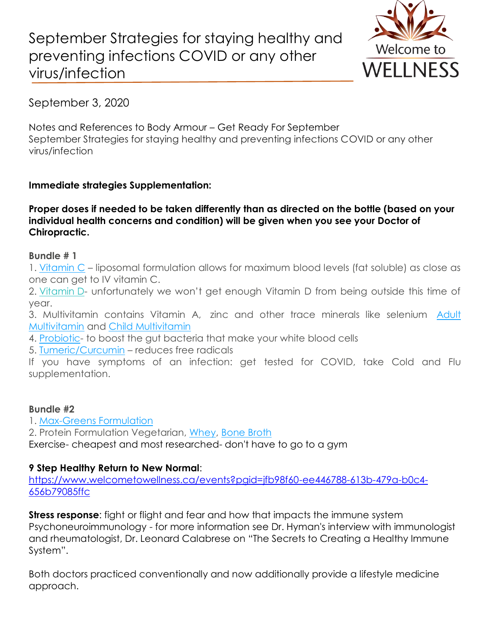# September Strategies for staying healthy and preventing infections COVID or any other virus/infection



September 3, 2020

Notes and References to Body Armour – Get Ready For September September Strategies for staying healthy and preventing infections COVID or any other virus/infection

# **Immediate strategies Supplementation:**

**Proper doses if needed to be taken differently than as directed on the bottle (based on your individual health concerns and condition) will be given when you see your Doctor of Chiropractic.**

### **Bundle # 1**

1. [Vitamin C](https://www.welcometowellness.ca/so/daN3W3tkQ/c?w=iIepRzZ4AM8p3vCZ2PYwvT-yokBzNJC81_dr0pJ8QLs.eyJ1IjoiaHR0cHM6Ly93d3cud2VsY29tZXRvd2VsbG5lc3MuY2EvcHJvZHVjdC1wYWdlL2xpcG9zb21hbC12aXRhbWluLWMiLCJyIjoiZGM1MzU0NGMtM2E4ZS00Yzk5LTg2ZjItMGM2NmMwZDVmYzcyIiwibSI6Im1haWwiLCJjIjoiZDg1Zjc2OTYtYTc2MC00YWViLTg0NWQtNTY5MGIzYTFkNDI5In0) – liposomal formulation allows for maximum blood levels (fat soluble) as close as one can get to IV vitamin C.

2. [Vitamin](https://www.welcometowellness.ca/so/daN3W3tkQ/c?w=K3wuxnn8lrUdHXib5ZK3DJ-Q-JVlsrKOfRij5zgTn0A.eyJ1IjoiaHR0cHM6Ly93d3cud2VsY29tZXRvd2VsbG5lc3MuY2EvcHJvZHVjdC1wYWdlL3ZpdGFtaW4tZDMtZHJvcHMiLCJyIjoiZGM1MzU0NGMtM2E4ZS00Yzk5LTg2ZjItMGM2NmMwZDVmYzcyIiwibSI6Im1haWwiLCJjIjoiZDg1Zjc2OTYtYTc2MC00YWViLTg0NWQtNTY5MGIzYTFkNDI5In0) D- unfortunately we won't get enough Vitamin D from being outside this time of year.

3. Multivitamin contains Vitamin A, zinc and other trace minerals like selenium [Adult](https://www.welcometowellness.ca/so/daN3W3tkQ/c?w=y0QoZSjDPaa_6JauaekKh8LpLVSuyY6L6uLY-YJRfgQ.eyJ1IjoiaHR0cHM6Ly93d3cud2VsY29tZXRvd2VsbG5lc3MuY2EvcHJvZHVjdC1wYWdlL2RhaWx5LW11bHRpdml0YW1pbiIsInIiOiJkYzUzNTQ0Yy0zYThlLTRjOTktODZmMi0wYzY2YzBkNWZjNzIiLCJtIjoibWFpbCIsImMiOiJkODVmNzY5Ni1hNzYwLTRhZWItODQ1ZC01NjkwYjNhMWQ0MjkifQ) Multivitamin and [Child](https://www.welcometowellness.ca/so/daN3W3tkQ/c?w=ye_1FISUxi8yONcp2VOjNHZ0qjL5C5UQYYLmZcZZQCI.eyJ1IjoiaHR0cHM6Ly93d3cud2VsY29tZXRvd2VsbG5lc3MuY2EvcHJvZHVjdC1wYWdlL3ZpdGEta2lkcyIsInIiOiJkYzUzNTQ0Yy0zYThlLTRjOTktODZmMi0wYzY2YzBkNWZjNzIiLCJtIjoibWFpbCIsImMiOiJkODVmNzY5Ni1hNzYwLTRhZWItODQ1ZC01NjkwYjNhMWQ0MjkifQ) Multivitamin

4. [Probiotic-](https://www.welcometowellness.ca/so/daN3W3tkQ/c?w=9AnnkwrqBGyHDzPaDeGWjXU4Lmt4HX4XejfRyO_jbUA.eyJ1IjoiaHR0cHM6Ly93d3cud2VsY29tZXRvd2VsbG5lc3MuY2Evc2VhcmNoLXJlc3VsdHMtcGFnZS9wcm9iaW90aWMiLCJyIjoiZGM1MzU0NGMtM2E4ZS00Yzk5LTg2ZjItMGM2NmMwZDVmYzcyIiwibSI6Im1haWwiLCJjIjoiZDg1Zjc2OTYtYTc2MC00YWViLTg0NWQtNTY5MGIzYTFkNDI5In0) to boost the gut bacteria that make your white blood cells

5. [Tumeric/Curcumin](https://www.welcometowellness.ca/so/daN3W3tkQ/c?w=aMCR1Kaf3dUlKfJ46nvPQvnLuwtlm2Gn1v-S9_v__hc.eyJ1IjoiaHR0cHM6Ly93d3cud2VsY29tZXRvd2VsbG5lc3MuY2EvcHJvZHVjdC1wYWdlL3R1cm1lcmljLTEyMHZjYXBzIiwiciI6ImRjNTM1NDRjLTNhOGUtNGM5OS04NmYyLTBjNjZjMGQ1ZmM3MiIsIm0iOiJtYWlsIiwiYyI6ImQ4NWY3Njk2LWE3NjAtNGFlYi04NDVkLTU2OTBiM2ExZDQyOSJ9) – reduces free radicals

If you have symptoms of an infection: get tested for COVID, take Cold and Flu supplementation.

## **Bundle #2**

1. [Max-Greens Formulation](https://www.welcometowellness.ca/so/daN3W3tkQ/c?w=1ATHymOyIaCZREODgcV2WR_vatGXNOoEmHNK0uMbbUE.eyJ1IjoiaHR0cHM6Ly93d3cud2VsY29tZXRvd2VsbG5lc3MuY2EvcHJvZHVjdC1wYWdlL21heC1ncmVlbnMiLCJyIjoiZGM1MzU0NGMtM2E4ZS00Yzk5LTg2ZjItMGM2NmMwZDVmYzcyIiwibSI6Im1haWwiLCJjIjoiZDg1Zjc2OTYtYTc2MC00YWViLTg0NWQtNTY5MGIzYTFkNDI5In0)

2. Protein Formulation Vegetarian, [Whey,](https://www.welcometowellness.ca/so/daN3W3tkQ/c?w=JfYJkGbcY-7rOMTFfshxPOZz_LAh9aWx9skt3ndc-D4.eyJ1IjoiaHR0cHM6Ly93d3cud2VsY29tZXRvd2VsbG5lc3MuY2EvcHJvZHVjdC1wYWdlL21heC1wcm90ZWluIiwiciI6ImRjNTM1NDRjLTNhOGUtNGM5OS04NmYyLTBjNjZjMGQ1ZmM3MiIsIm0iOiJtYWlsIiwiYyI6ImQ4NWY3Njk2LWE3NjAtNGFlYi04NDVkLTU2OTBiM2ExZDQyOSJ9) [Bone Broth](https://www.welcometowellness.ca/so/daN3W3tkQ/c?w=oNxlwkl-BKCZMzoanzSjLaR86ZHs-kFGW5mBnj1f4w4.eyJ1IjoiaHR0cHM6Ly93d3cud2VsY29tZXRvd2VsbG5lc3MuY2EvcHJvZHVjdC1wYWdlL21sLXB1cmUtcGF0aC1wcm90ZWluLWZyb20tYm9uZS1icm90aCIsInIiOiJkYzUzNTQ0Yy0zYThlLTRjOTktODZmMi0wYzY2YzBkNWZjNzIiLCJtIjoibWFpbCIsImMiOiJkODVmNzY5Ni1hNzYwLTRhZWItODQ1ZC01NjkwYjNhMWQ0MjkifQ)

Exercise- cheapest and most researched- don't have to go to a gym

# **9 Step Healthy Return to New Normal**:

[https://www.welcometowellness.ca/events?pgid=jfb98f60-ee446788-613b-479a-b0c4-](https://www.welcometowellness.ca/events?pgid=jfb98f60-ee446788-613b-479a-b0c4-656b79085ffc) [656b79085ffc](https://www.welcometowellness.ca/events?pgid=jfb98f60-ee446788-613b-479a-b0c4-656b79085ffc)

**Stress response**: fight or flight and fear and how that impacts the immune system Psychoneuroimmunology - for more information see Dr. Hyman's interview with immunologist and rheumatologist, Dr. Leonard Calabrese on "The Secrets to Creating a Healthy Immune System".

Both doctors practiced conventionally and now additionally provide a lifestyle medicine approach.